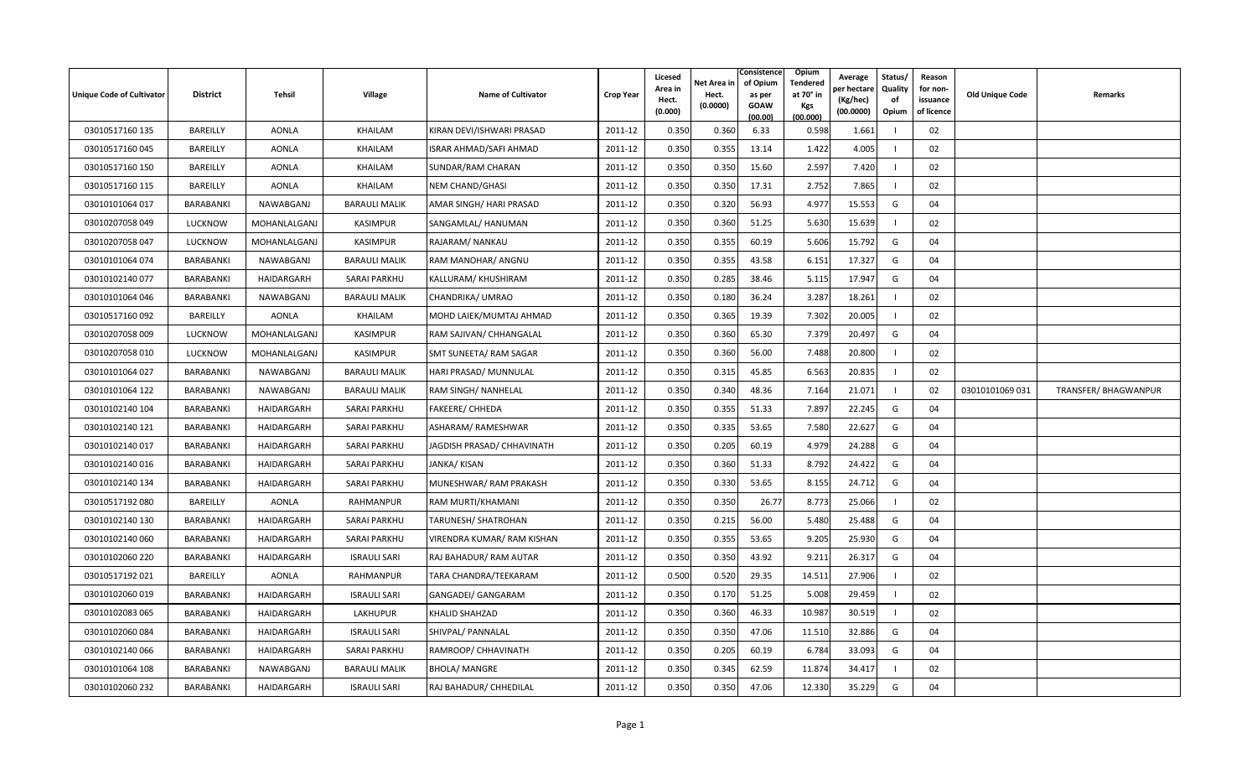| <b>Unique Code of Cultivator</b> | <b>District</b>  | <b>Tehsil</b> | Village              | <b>Name of Cultivator</b>  | <b>Crop Year</b> | Licesed<br>Area in<br>Hect.<br>(0.000) | Net Area in<br>Hect.<br>(0.0000) | Consistence<br>of Opium<br>as per<br><b>GOAW</b><br>(00.00) | <b>Opium</b><br>Tendered<br>at 70° in<br>Kgs<br>(00.000) | Average<br>er hectar<br>(Kg/hec)<br>(00.0000) | Status/<br>Quality<br>of<br>Opium | Reason<br>for non-<br>issuance<br>of licence | <b>Old Unique Code</b> | Remarks                     |
|----------------------------------|------------------|---------------|----------------------|----------------------------|------------------|----------------------------------------|----------------------------------|-------------------------------------------------------------|----------------------------------------------------------|-----------------------------------------------|-----------------------------------|----------------------------------------------|------------------------|-----------------------------|
| 03010517160 135                  | BAREILLY         | <b>AONLA</b>  | KHAILAM              | KIRAN DEVI/ISHWARI PRASAD  | 2011-12          | 0.350                                  | 0.360                            | 6.33                                                        | 0.598                                                    | 1.661                                         |                                   | 02                                           |                        |                             |
| 03010517160045                   | BAREILLY         | <b>AONLA</b>  | KHAILAM              | ISRAR AHMAD/SAFI AHMAD     | 2011-12          | 0.350                                  | 0.355                            | 13.14                                                       | 1.422                                                    | 4.005                                         |                                   | 02                                           |                        |                             |
| 03010517160 150                  | BAREILLY         | <b>AONLA</b>  | KHAILAM              | SUNDAR/RAM CHARAN          | 2011-12          | 0.350                                  | 0.350                            | 15.60                                                       | 2.597                                                    | 7.420                                         |                                   | 02                                           |                        |                             |
| 03010517160 115                  | BAREILLY         | AONLA         | KHAILAM              | <b>NEM CHAND/GHASI</b>     | 2011-12          | 0.350                                  | 0.350                            | 17.31                                                       | 2.752                                                    | 7.865                                         |                                   | 02                                           |                        |                             |
| 03010101064 017                  | <b>BARABANKI</b> | NAWABGANJ     | <b>BARAULI MALIK</b> | AMAR SINGH/ HARI PRASAD    | 2011-12          | 0.350                                  | 0.320                            | 56.93                                                       | 4.977                                                    | 15.553                                        | G                                 | 04                                           |                        |                             |
| 03010207058 049                  | <b>LUCKNOW</b>   | MOHANLALGANJ  | <b>KASIMPUR</b>      | SANGAMLAL/ HANUMAN         | 2011-12          | 0.350                                  | 0.360                            | 51.25                                                       | 5.630                                                    | 15.639                                        |                                   | 02                                           |                        |                             |
| 03010207058 047                  | <b>LUCKNOW</b>   | MOHANLALGANJ  | KASIMPUR             | RAJARAM/ NANKAU            | 2011-12          | 0.350                                  | 0.355                            | 60.19                                                       | 5.606                                                    | 15.792                                        | G                                 | 04                                           |                        |                             |
| 03010101064 074                  | BARABANKI        | NAWABGANJ     | <b>BARAULI MALIK</b> | RAM MANOHAR/ ANGNU         | 2011-12          | 0.350                                  | 0.355                            | 43.58                                                       | 6.151                                                    | 17.327                                        | G                                 | 04                                           |                        |                             |
| 03010102140 077                  | BARABANKI        | HAIDARGARH    | <b>SARAI PARKHU</b>  | KALLURAM/ KHUSHIRAM        | 2011-12          | 0.350                                  | 0.285                            | 38.46                                                       | 5.115                                                    | 17.947                                        | G                                 | 04                                           |                        |                             |
| 03010101064 046                  | <b>BARABANKI</b> | NAWABGANJ     | <b>BARAULI MALIK</b> | CHANDRIKA/ UMRAO           | 2011-12          | 0.350                                  | 0.180                            | 36.24                                                       | 3.287                                                    | 18.261                                        |                                   | 02                                           |                        |                             |
| 03010517160092                   | BAREILLY         | AONLA         | KHAILAM              | MOHD LAIEK/MUMTAJ AHMAD    | 2011-12          | 0.350                                  | 0.365                            | 19.39                                                       | 7.302                                                    | 20.005                                        |                                   | 02                                           |                        |                             |
| 03010207058 009                  | <b>LUCKNOW</b>   | MOHANLALGANJ  | KASIMPUR             | RAM SAJIVAN/ CHHANGALAL    | 2011-12          | 0.350                                  | 0.360                            | 65.30                                                       | 7.379                                                    | 20.497                                        | G                                 | 04                                           |                        |                             |
| 03010207058 010                  | <b>LUCKNOW</b>   | MOHANLALGANJ  | <b>KASIMPUR</b>      | SMT SUNEETA/ RAM SAGAR     | 2011-12          | 0.350                                  | 0.360                            | 56.00                                                       | 7.488                                                    | 20.800                                        |                                   | 02                                           |                        |                             |
| 03010101064 027                  | <b>BARABANKI</b> | NAWABGANJ     | <b>BARAULI MALIK</b> | HARI PRASAD/ MUNNULAL      | 2011-12          | 0.350                                  | 0.315                            | 45.85                                                       | 6.563                                                    | 20.835                                        |                                   | 02                                           |                        |                             |
| 03010101064 122                  | <b>BARABANKI</b> | NAWABGANJ     | <b>BARAULI MALIK</b> | RAM SINGH/ NANHELAL        | 2011-12          | 0.350                                  | 0.340                            | 48.36                                                       | 7.164                                                    | 21.071                                        |                                   | 02                                           | 03010101069 031        | <b>TRANSFER/ BHAGWANPUR</b> |
| 03010102140 104                  | BARABANKI        | HAIDARGARH    | <b>SARAI PARKHU</b>  | <b>FAKEERE/ CHHEDA</b>     | 2011-12          | 0.350                                  | 0.355                            | 51.33                                                       | 7.897                                                    | 22.245                                        | G                                 | 04                                           |                        |                             |
| 03010102140 121                  | <b>BARABANKI</b> | HAIDARGARH    | <b>SARAI PARKHU</b>  | ASHARAM/ RAMESHWAR         | 2011-12          | 0.350                                  | 0.335                            | 53.65                                                       | 7.580                                                    | 22.627                                        | G                                 | 04                                           |                        |                             |
| 03010102140 017                  | BARABANKI        | HAIDARGARH    | SARAI PARKHU         | JAGDISH PRASAD/ CHHAVINATH | 2011-12          | 0.350                                  | 0.205                            | 60.19                                                       | 4.979                                                    | 24.288                                        | G                                 | 04                                           |                        |                             |
| 03010102140016                   | <b>BARABANKI</b> | HAIDARGARH    | <b>SARAI PARKHU</b>  | JANKA/KISAN                | 2011-12          | 0.350                                  | 0.360                            | 51.33                                                       | 8.792                                                    | 24.422                                        | G                                 | 04                                           |                        |                             |
| 03010102140 134                  | BARABANKI        | HAIDARGARH    | <b>SARAI PARKHU</b>  | MUNESHWAR/ RAM PRAKASH     | 2011-12          | 0.350                                  | 0.330                            | 53.65                                                       | 8.155                                                    | 24.712                                        | G                                 | 04                                           |                        |                             |
| 03010517192 080                  | BAREILLY         | <b>AONLA</b>  | RAHMANPUR            | RAM MURTI/KHAMANI          | 2011-12          | 0.350                                  | 0.350                            | 26.77                                                       | 8.773                                                    | 25.066                                        |                                   | 02                                           |                        |                             |
| 03010102140 130                  | <b>BARABANKI</b> | HAIDARGARH    | <b>SARAI PARKHU</b>  | <b>TARUNESH/ SHATROHAN</b> | 2011-12          | 0.350                                  | 0.215                            | 56.00                                                       | 5.480                                                    | 25.488                                        | G                                 | 04                                           |                        |                             |
| 03010102140 060                  | BARABANKI        | HAIDARGARH    | <b>SARAI PARKHU</b>  | VIRENDRA KUMAR/RAM KISHAN  | 2011-12          | 0.350                                  | 0.355                            | 53.65                                                       | 9.205                                                    | 25.930                                        | G                                 | 04                                           |                        |                             |
| 03010102060 220                  | <b>BARABANKI</b> | HAIDARGARH    | <b>ISRAULI SARI</b>  | RAJ BAHADUR/ RAM AUTAR     | 2011-12          | 0.350                                  | 0.350                            | 43.92                                                       | 9.21                                                     | 26.317                                        | G                                 | 04                                           |                        |                             |
| 03010517192 021                  | BAREILLY         | <b>AONLA</b>  | <b>RAHMANPUR</b>     | TARA CHANDRA/TEEKARAM      | 2011-12          | 0.500                                  | 0.520                            | 29.35                                                       | 14.511                                                   | 27.906                                        |                                   | 02                                           |                        |                             |
| 03010102060 019                  | BARABANKI        | HAIDARGARH    | <b>ISRAULI SARI</b>  | GANGADEI/ GANGARAM         | 2011-12          | 0.350                                  | 0.170                            | 51.25                                                       | 5.008                                                    | 29.459                                        |                                   | 02                                           |                        |                             |
| 03010102083 065                  | BARABANKI        | HAIDARGARH    | LAKHUPUR             | <b>KHALID SHAHZAD</b>      | 2011-12          | 0.350                                  | 0.360                            | 46.33                                                       | 10.987                                                   | 30.519                                        |                                   | 02                                           |                        |                             |
| 03010102060084                   | BARABANKI        | HAIDARGARH    | <b>ISRAULI SARI</b>  | SHIVPAL/ PANNALAL          | 2011-12          | 0.350                                  | 0.350                            | 47.06                                                       | 11.510                                                   | 32.886                                        | G                                 | 04                                           |                        |                             |
| 03010102140066                   | BARABANKI        | HAIDARGARH    | <b>SARAI PARKHU</b>  | RAMROOP/ CHHAVINATH        | 2011-12          | 0.350                                  | 0.205                            | 60.19                                                       | 6.784                                                    | 33.093                                        | G                                 | 04                                           |                        |                             |
| 03010101064 108                  | <b>BARABANKI</b> | NAWABGANJ     | <b>BARAULI MALIK</b> | <b>BHOLA/ MANGRE</b>       | 2011-12          | 0.350                                  | 0.345                            | 62.59                                                       | 11.874                                                   | 34.417                                        |                                   | 02                                           |                        |                             |
| 03010102060 232                  | BARABANKI        | HAIDARGARH    | <b>ISRAULI SARI</b>  | RAJ BAHADUR/ CHHEDILAL     | 2011-12          | 0.350                                  | 0.350                            | 47.06                                                       | 12.330                                                   | 35.229                                        | G                                 | 04                                           |                        |                             |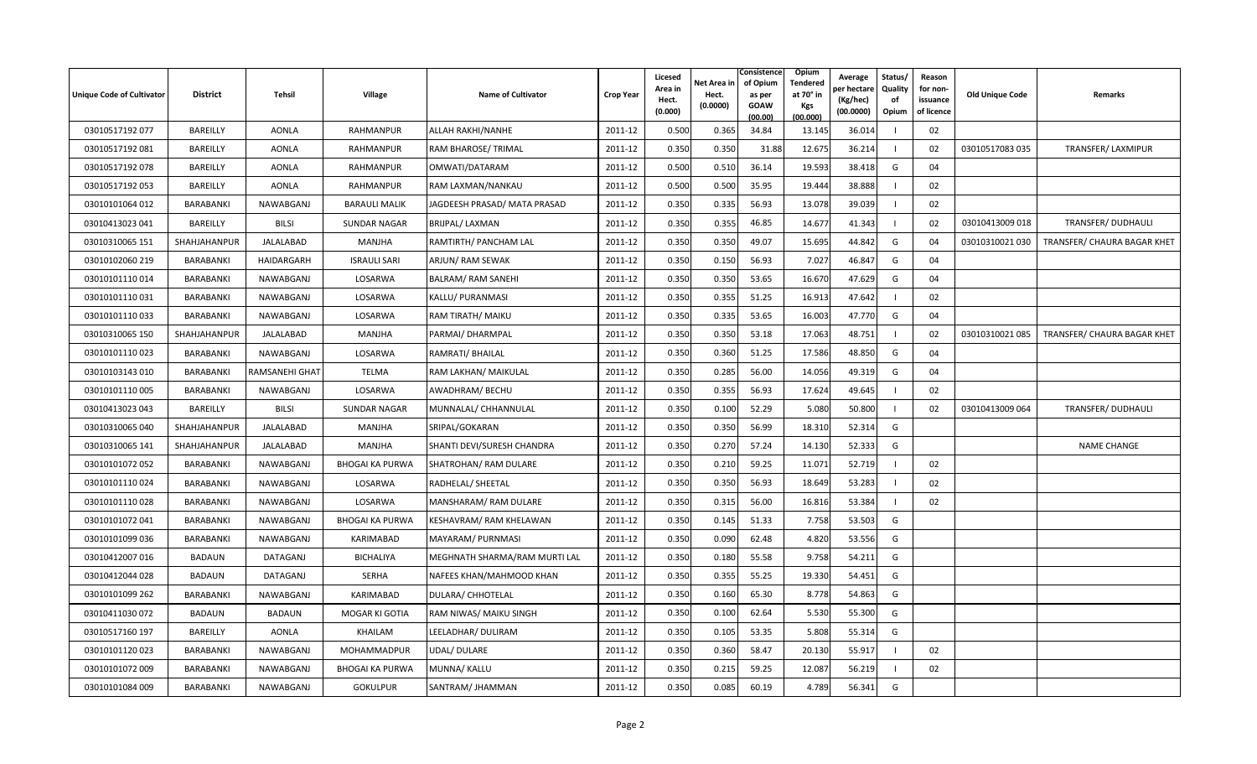| <b>Unique Code of Cultivator</b> | <b>District</b>  | Tehsil          | Village                | <b>Name of Cultivator</b>     | <b>Crop Year</b> | Licesed<br>Area in<br>Hect.<br>(0.000) | Net Area in<br>Hect.<br>(0.0000) | Consistence<br>of Opium<br>as per<br><b>GOAW</b><br>(00.00) | <b>Opium</b><br>Tendered<br>at 70° in<br>Kgs<br>(00.000) | Average<br>er hectar<br>(Kg/hec)<br>(00.0000) | Status/<br>Quality<br>of<br>Opium | Reason<br>for non-<br>issuance<br>of licence | <b>Old Unique Code</b> | Remarks                     |
|----------------------------------|------------------|-----------------|------------------------|-------------------------------|------------------|----------------------------------------|----------------------------------|-------------------------------------------------------------|----------------------------------------------------------|-----------------------------------------------|-----------------------------------|----------------------------------------------|------------------------|-----------------------------|
| 03010517192 077                  | BAREILLY         | <b>AONLA</b>    | RAHMANPUR              | ALLAH RAKHI/NANHE             | 2011-12          | 0.500                                  | 0.365                            | 34.84                                                       | 13.145                                                   | 36.014                                        |                                   | 02                                           |                        |                             |
| 03010517192081                   | BAREILLY         | <b>AONLA</b>    | RAHMANPUR              | RAM BHAROSE/ TRIMAL           | 2011-12          | 0.350                                  | 0.350                            | 31.88                                                       | 12.675                                                   | 36.214                                        | -1                                | 02                                           | 03010517083 035        | TRANSFER/LAXMIPUR           |
| 03010517192 078                  | BAREILLY         | <b>AONLA</b>    | RAHMANPUR              | OMWATI/DATARAM                | 2011-12          | 0.500                                  | 0.510                            | 36.14                                                       | 19.593                                                   | 38.418                                        | G                                 | 04                                           |                        |                             |
| 03010517192 053                  | BAREILLY         | <b>AONLA</b>    | RAHMANPUR              | RAM LAXMAN/NANKAU             | 2011-12          | 0.500                                  | 0.500                            | 35.95                                                       | 19.444                                                   | 38.888                                        |                                   | 02                                           |                        |                             |
| 03010101064 012                  | <b>BARABANKI</b> | NAWABGANJ       | <b>BARAULI MALIK</b>   | JAGDEESH PRASAD/ MATA PRASAD  | 2011-12          | 0.350                                  | 0.335                            | 56.93                                                       | 13.078                                                   | 39.039                                        |                                   | 02                                           |                        |                             |
| 03010413023 041                  | BAREILLY         | <b>BILSI</b>    | <b>SUNDAR NAGAR</b>    | <b>BRIJPAL/ LAXMAN</b>        | 2011-12          | 0.350                                  | 0.355                            | 46.85                                                       | 14.677                                                   | 41.343                                        |                                   | 02                                           | 03010413009 018        | TRANSFER/ DUDHAULI          |
| 03010310065 151                  | SHAHJAHANPUR     | JALALABAD       | MANJHA                 | RAMTIRTH/ PANCHAM LAL         | 2011-12          | 0.350                                  | 0.350                            | 49.07                                                       | 15.695                                                   | 44.842                                        | G                                 | 04                                           | 03010310021 030        | TRANSFER/ CHAURA BAGAR KHET |
| 03010102060 219                  | BARABANKI        | HAIDARGARH      | <b>ISRAULI SARI</b>    | ARJUN/ RAM SEWAK              | 2011-12          | 0.350                                  | 0.150                            | 56.93                                                       | 7.027                                                    | 46.847                                        | G                                 | 04                                           |                        |                             |
| 03010101110014                   | BARABANKI        | NAWABGANJ       | LOSARWA                | <b>BALRAM/ RAM SANEHI</b>     | 2011-12          | 0.350                                  | 0.350                            | 53.65                                                       | 16.670                                                   | 47.629                                        | G                                 | 04                                           |                        |                             |
| 03010101110031                   | BARABANKI        | NAWABGANJ       | LOSARWA                | KALLU/ PURANMASI              | 2011-12          | 0.350                                  | 0.355                            | 51.25                                                       | 16.913                                                   | 47.642                                        |                                   | 02                                           |                        |                             |
| 03010101110033                   | BARABANKI        | NAWABGANJ       | LOSARWA                | RAM TIRATH/ MAIKU             | 2011-12          | 0.350                                  | 0.335                            | 53.65                                                       | 16.003                                                   | 47.770                                        | G                                 | 04                                           |                        |                             |
| 03010310065 150                  | SHAHJAHANPUR     | JALALABAD       | <b>MANJHA</b>          | PARMAI/ DHARMPAL              | 2011-12          | 0.350                                  | 0.350                            | 53.18                                                       | 17.063                                                   | 48.751                                        |                                   | 02                                           | 03010310021 085        | TRANSFER/ CHAURA BAGAR KHET |
| 03010101110023                   | BARABANKI        | NAWABGANJ       | LOSARWA                | RAMRATI/ BHAILAL              | 2011-12          | 0.350                                  | 0.360                            | 51.25                                                       | 17.586                                                   | 48.850                                        | G                                 | 04                                           |                        |                             |
| 03010103143 010                  | BARABANKI        | RAMSANEHI GHAT  | TELMA                  | RAM LAKHAN/ MAIKULAL          | 2011-12          | 0.350                                  | 0.285                            | 56.00                                                       | 14.056                                                   | 49.319                                        | G                                 | 04                                           |                        |                             |
| 03010101110005                   | <b>BARABANKI</b> | NAWABGANJ       | LOSARWA                | AWADHRAM/ BECHU               | 2011-12          | 0.350                                  | 0.355                            | 56.93                                                       | 17.624                                                   | 49.645                                        |                                   | 02                                           |                        |                             |
| 03010413023 043                  | BAREILLY         | <b>BILSI</b>    | <b>SUNDAR NAGAR</b>    | MUNNALAL/ CHHANNULAL          | 2011-12          | 0.350                                  | 0.100                            | 52.29                                                       | 5.080                                                    | 50.800                                        |                                   | 02                                           | 03010413009 064        | TRANSFER/ DUDHAULI          |
| 03010310065 040                  | SHAHJAHANPUR     | JALALABAD       | <b>MANJHA</b>          | SRIPAL/GOKARAN                | 2011-12          | 0.350                                  | 0.350                            | 56.99                                                       | 18.310                                                   | 52.314                                        | G                                 |                                              |                        |                             |
| 03010310065 141                  | SHAHJAHANPUR     | JALALABAD       | <b>MANJHA</b>          | SHANTI DEVI/SURESH CHANDRA    | 2011-12          | 0.350                                  | 0.270                            | 57.24                                                       | 14.130                                                   | 52.333                                        | G                                 |                                              |                        | <b>NAME CHANGE</b>          |
| 03010101072 052                  | BARABANKI        | NAWABGANJ       | <b>BHOGAI KA PURWA</b> | <b>SHATROHAN/ RAM DULARE</b>  | 2011-12          | 0.350                                  | 0.210                            | 59.25                                                       | 11.071                                                   | 52.719                                        |                                   | 02                                           |                        |                             |
| 03010101110024                   | BARABANKI        | NAWABGANJ       | LOSARWA                | RADHELAL/ SHEETAL             | 2011-12          | 0.350                                  | 0.350                            | 56.93                                                       | 18.649                                                   | 53.283                                        |                                   | 02                                           |                        |                             |
| 03010101110028                   | BARABANKI        | NAWABGANJ       | LOSARWA                | MANSHARAM/ RAM DULARE         | 2011-12          | 0.350                                  | 0.315                            | 56.00                                                       | 16.816                                                   | 53.384                                        | -1                                | 02                                           |                        |                             |
| 03010101072041                   | <b>BARABANKI</b> | NAWABGANJ       | <b>BHOGAI KA PURWA</b> | KESHAVRAM/ RAM KHELAWAN       | 2011-12          | 0.350                                  | 0.145                            | 51.33                                                       | 7.758                                                    | 53.503                                        | G                                 |                                              |                        |                             |
| 03010101099 036                  | BARABANKI        | NAWABGANJ       | KARIMABAD              | MAYARAM/ PURNMASI             | 2011-12          | 0.350                                  | 0.090                            | 62.48                                                       | 4.820                                                    | 53.556                                        | G                                 |                                              |                        |                             |
| 03010412007 016                  | <b>BADAUN</b>    | <b>DATAGANJ</b> | <b>BICHALIYA</b>       | MEGHNATH SHARMA/RAM MURTI LAL | 2011-12          | 0.350                                  | 0.180                            | 55.58                                                       | 9.758                                                    | 54.211                                        | G                                 |                                              |                        |                             |
| 03010412044 028                  | <b>BADAUN</b>    | DATAGANJ        | <b>SERHA</b>           | NAFEES KHAN/MAHMOOD KHAN      | 2011-12          | 0.350                                  | 0.355                            | 55.25                                                       | 19.330                                                   | 54.451                                        | G                                 |                                              |                        |                             |
| 03010101099 262                  | <b>BARABANKI</b> | NAWABGANJ       | KARIMABAD              | <b>DULARA/ CHHOTELAL</b>      | 2011-12          | 0.350                                  | 0.160                            | 65.30                                                       | 8.778                                                    | 54.863                                        | G                                 |                                              |                        |                             |
| 03010411030 072                  | <b>BADAUN</b>    | <b>BADAUN</b>   | MOGAR KI GOTIA         | RAM NIWAS/ MAIKU SINGH        | 2011-12          | 0.350                                  | 0.100                            | 62.64                                                       | 5.530                                                    | 55.300                                        | G                                 |                                              |                        |                             |
| 03010517160 197                  | BAREILLY         | <b>AONLA</b>    | KHAILAM                | LEELADHAR/ DULIRAM            | 2011-12          | 0.350                                  | 0.105                            | 53.35                                                       | 5.808                                                    | 55.314                                        | G                                 |                                              |                        |                             |
| 03010101120023                   | BARABANKI        | NAWABGANJ       | MOHAMMADPUR            | <b>UDAL/ DULARE</b>           | 2011-12          | 0.350                                  | 0.360                            | 58.47                                                       | 20.130                                                   | 55.917                                        | $\overline{1}$                    | 02                                           |                        |                             |
| 03010101072 009                  | BARABANKI        | NAWABGANJ       | <b>BHOGAI KA PURWA</b> | MUNNA/ KALLU                  | 2011-12          | 0.350                                  | 0.215                            | 59.25                                                       | 12.087                                                   | 56.219                                        |                                   | 02                                           |                        |                             |
| 03010101084 009                  | BARABANKI        | NAWABGANJ       | <b>GOKULPUR</b>        | SANTRAM/ JHAMMAN              | 2011-12          | 0.350                                  | 0.085                            | 60.19                                                       | 4.789                                                    | 56.341                                        | G                                 |                                              |                        |                             |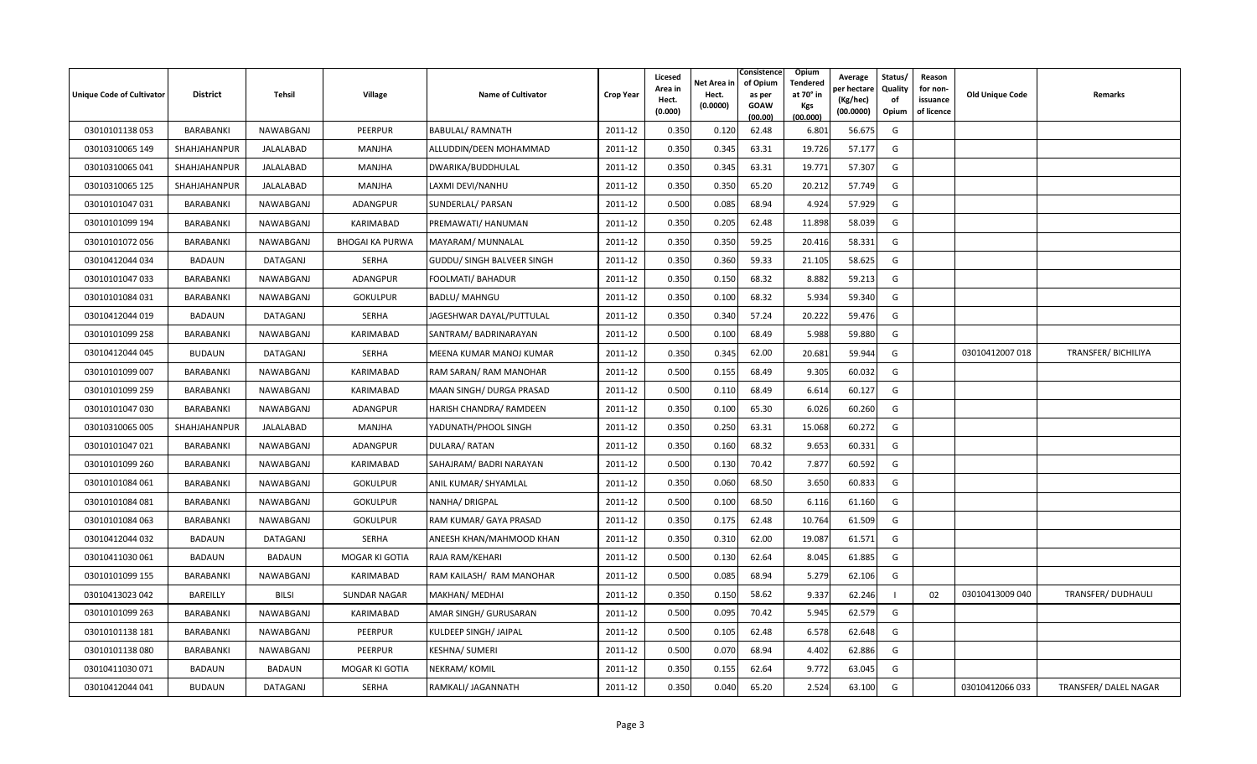| <b>Unique Code of Cultivator</b> | <b>District</b> | Tehsil          | <b>Village</b>         | <b>Name of Cultivator</b>  | <b>Crop Year</b> | Licesed<br>Area in<br>Hect.<br>(0.000) | Net Area in<br>Hect.<br>(0.0000) | Consistence<br>of Opium<br>as per<br><b>GOAW</b><br>(00.00) | <b>Opium</b><br>Tendered<br>at 70° in<br>Kgs<br>(00.000) | Average<br>er hectare)<br>(Kg/hec)<br>(00.0000) | Status/<br><b>Quality</b><br>of<br>Opium | Reason<br>for non-<br>issuance<br>of licence | <b>Old Unique Code</b> | Remarks               |
|----------------------------------|-----------------|-----------------|------------------------|----------------------------|------------------|----------------------------------------|----------------------------------|-------------------------------------------------------------|----------------------------------------------------------|-------------------------------------------------|------------------------------------------|----------------------------------------------|------------------------|-----------------------|
| 03010101138053                   | BARABANKI       | NAWABGANJ       | PEERPUR                | <b>BABULAL/ RAMNATH</b>    | 2011-12          | 0.350                                  | 0.120                            | 62.48                                                       | 6.801                                                    | 56.675                                          | G                                        |                                              |                        |                       |
| 03010310065 149                  | SHAHJAHANPUR    | JALALABAD       | MANJHA                 | ALLUDDIN/DEEN MOHAMMAD     | 2011-12          | 0.350                                  | 0.345                            | 63.31                                                       | 19.726                                                   | 57.177                                          | G                                        |                                              |                        |                       |
| 03010310065 041                  | SHAHJAHANPUR    | JALALABAD       | MANJHA                 | DWARIKA/BUDDHULAL          | 2011-12          | 0.350                                  | 0.345                            | 63.31                                                       | 19.771                                                   | 57.307                                          | G                                        |                                              |                        |                       |
| 03010310065 125                  | SHAHJAHANPUR    | JALALABAD       | MANJHA                 | LAXMI DEVI/NANHU           | 2011-12          | 0.350                                  | 0.350                            | 65.20                                                       | 20.212                                                   | 57.749                                          | G                                        |                                              |                        |                       |
| 03010101047 031                  | BARABANKI       | NAWABGANJ       | ADANGPUR               | SUNDERLAL/ PARSAN          | 2011-12          | 0.500                                  | 0.085                            | 68.94                                                       | 4.924                                                    | 57.929                                          | G                                        |                                              |                        |                       |
| 03010101099 194                  | BARABANKI       | NAWABGANJ       | KARIMABAD              | PREMAWATI/ HANUMAN         | 2011-12          | 0.350                                  | 0.205                            | 62.48                                                       | 11.898                                                   | 58.039                                          | G                                        |                                              |                        |                       |
| 03010101072 056                  | BARABANKI       | NAWABGANJ       | <b>BHOGAI KA PURWA</b> | MAYARAM/ MUNNALAL          | 2011-12          | 0.350                                  | 0.350                            | 59.25                                                       | 20.416                                                   | 58.331                                          | G                                        |                                              |                        |                       |
| 03010412044 034                  | <b>BADAUN</b>   | DATAGANJ        | <b>SERHA</b>           | GUDDU/ SINGH BALVEER SINGH | 2011-12          | 0.350                                  | 0.360                            | 59.33                                                       | 21.105                                                   | 58.625                                          | G                                        |                                              |                        |                       |
| 03010101047 033                  | BARABANKI       | NAWABGANJ       | <b>ADANGPUR</b>        | FOOLMATI/ BAHADUR          | 2011-12          | 0.350                                  | 0.150                            | 68.32                                                       | 8.882                                                    | 59.213                                          | G                                        |                                              |                        |                       |
| 03010101084 031                  | BARABANKI       | NAWABGANJ       | <b>GOKULPUR</b>        | <b>BADLU/ MAHNGU</b>       | 2011-12          | 0.350                                  | 0.100                            | 68.32                                                       | 5.934                                                    | 59.340                                          | G                                        |                                              |                        |                       |
| 03010412044 019                  | <b>BADAUN</b>   | <b>DATAGANJ</b> | SERHA                  | JAGESHWAR DAYAL/PUTTULAL   | 2011-12          | 0.350                                  | 0.340                            | 57.24                                                       | 20.222                                                   | 59.476                                          | G                                        |                                              |                        |                       |
| 03010101099 258                  | BARABANKI       | NAWABGANJ       | KARIMABAD              | SANTRAM/ BADRINARAYAN      | 2011-12          | 0.500                                  | 0.100                            | 68.49                                                       | 5.988                                                    | 59.880                                          | G                                        |                                              |                        |                       |
| 03010412044 045                  | <b>BUDAUN</b>   | DATAGANJ        | <b>SERHA</b>           | MEENA KUMAR MANOJ KUMAR    | 2011-12          | 0.350                                  | 0.345                            | 62.00                                                       | 20.681                                                   | 59.944                                          | G                                        |                                              | 03010412007 018        | TRANSFER/ BICHILIYA   |
| 03010101099 007                  | BARABANKI       | NAWABGANJ       | KARIMABAD              | RAM SARAN/ RAM MANOHAR     | 2011-12          | 0.500                                  | 0.155                            | 68.49                                                       | 9.305                                                    | 60.032                                          | G                                        |                                              |                        |                       |
| 03010101099 259                  | BARABANKI       | NAWABGANJ       | KARIMABAD              | MAAN SINGH/ DURGA PRASAD   | 2011-12          | 0.500                                  | 0.110                            | 68.49                                                       | 6.614                                                    | 60.127                                          | G                                        |                                              |                        |                       |
| 03010101047 030                  | BARABANKI       | NAWABGANJ       | ADANGPUR               | HARISH CHANDRA/ RAMDEEN    | 2011-12          | 0.350                                  | 0.100                            | 65.30                                                       | 6.026                                                    | 60.260                                          | G                                        |                                              |                        |                       |
| 03010310065 005                  | SHAHJAHANPUR    | JALALABAD       | MANJHA                 | YADUNATH/PHOOL SINGH       | 2011-12          | 0.350                                  | 0.250                            | 63.31                                                       | 15.068                                                   | 60.272                                          | G                                        |                                              |                        |                       |
| 03010101047 021                  | BARABANKI       | NAWABGANJ       | ADANGPUR               | DULARA/RATAN               | 2011-12          | 0.350                                  | 0.160                            | 68.32                                                       | 9.653                                                    | 60.331                                          | G                                        |                                              |                        |                       |
| 03010101099 260                  | BARABANKI       | NAWABGANJ       | KARIMABAD              | SAHAJRAM/ BADRI NARAYAN    | 2011-12          | 0.500                                  | 0.130                            | 70.42                                                       | 7.877                                                    | 60.592                                          | G                                        |                                              |                        |                       |
| 03010101084 061                  | BARABANKI       | NAWABGANJ       | <b>GOKULPUR</b>        | ANIL KUMAR/ SHYAMLAL       | 2011-12          | 0.350                                  | 0.060                            | 68.50                                                       | 3.650                                                    | 60.833                                          | G                                        |                                              |                        |                       |
| 03010101084 081                  | BARABANKI       | NAWABGANJ       | <b>GOKULPUR</b>        | NANHA/ DRIGPAL             | 2011-12          | 0.500                                  | 0.100                            | 68.50                                                       | 6.116                                                    | 61.160                                          | G                                        |                                              |                        |                       |
| 03010101084 063                  | BARABANKI       | NAWABGANJ       | <b>GOKULPUR</b>        | RAM KUMAR/ GAYA PRASAD     | 2011-12          | 0.350                                  | 0.175                            | 62.48                                                       | 10.764                                                   | 61.509                                          | G                                        |                                              |                        |                       |
| 03010412044 032                  | <b>BADAUN</b>   | DATAGANJ        | <b>SERHA</b>           | ANEESH KHAN/MAHMOOD KHAN   | 2011-12          | 0.350                                  | 0.310                            | 62.00                                                       | 19.087                                                   | 61.571                                          | G                                        |                                              |                        |                       |
| 03010411030 061                  | BADAUN          | <b>BADAUN</b>   | MOGAR KI GOTIA         | RAJA RAM/KEHARI            | 2011-12          | 0.500                                  | 0.130                            | 62.64                                                       | 8.045                                                    | 61.885                                          | G                                        |                                              |                        |                       |
| 03010101099 155                  | BARABANKI       | NAWABGANJ       | KARIMABAD              | RAM KAILASH/ RAM MANOHAR   | 2011-12          | 0.500                                  | 0.085                            | 68.94                                                       | 5.279                                                    | 62.106                                          | G                                        |                                              |                        |                       |
| 03010413023 042                  | BAREILLY        | <b>BILSI</b>    | <b>SUNDAR NAGAR</b>    | MAKHAN/ MEDHAI             | 2011-12          | 0.350                                  | 0.150                            | 58.62                                                       | 9.337                                                    | 62.246                                          | - 1                                      | 02                                           | 03010413009 040        | TRANSFER/ DUDHAULI    |
| 03010101099 263                  | BARABANKI       | NAWABGANJ       | KARIMABAD              | AMAR SINGH/ GURUSARAN      | 2011-12          | 0.500                                  | 0.095                            | 70.42                                                       | 5.945                                                    | 62.579                                          | G                                        |                                              |                        |                       |
| 03010101138 181                  | BARABANKI       | NAWABGANJ       | PEERPUR                | KULDEEP SINGH/ JAIPAL      | 2011-12          | 0.500                                  | 0.105                            | 62.48                                                       | 6.578                                                    | 62.648                                          | G                                        |                                              |                        |                       |
| 03010101138080                   | BARABANKI       | NAWABGANJ       | PEERPUR                | KESHNA/ SUMERI             | 2011-12          | 0.500                                  | 0.070                            | 68.94                                                       | 4.402                                                    | 62.886                                          | G                                        |                                              |                        |                       |
| 03010411030 071                  | <b>BADAUN</b>   | <b>BADAUN</b>   | MOGAR KI GOTIA         | NEKRAM/KOMIL               | 2011-12          | 0.350                                  | 0.155                            | 62.64                                                       | 9.772                                                    | 63.045                                          | G                                        |                                              |                        |                       |
| 03010412044041                   | <b>BUDAUN</b>   | <b>DATAGANJ</b> | <b>SERHA</b>           | RAMKALI/ JAGANNATH         | 2011-12          | 0.350                                  | 0.040                            | 65.20                                                       | 2.524                                                    | 63.100                                          | G                                        |                                              | 03010412066 033        | TRANSFER/ DALEL NAGAR |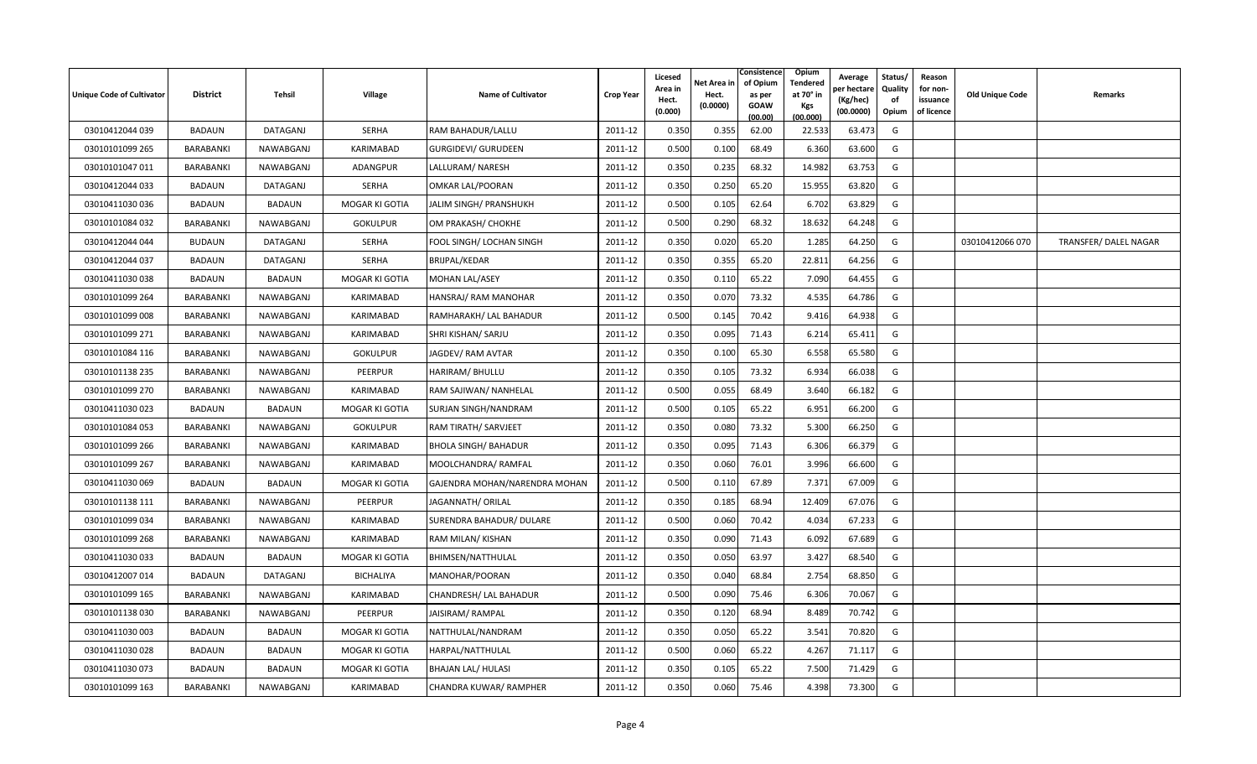| <b>Unique Code of Cultivator</b> | <b>District</b>  | Tehsil        | <b>Village</b>   | <b>Name of Cultivator</b>     | <b>Crop Year</b> | Licesed<br>Area in<br>Hect.<br>(0.000) | Net Area in<br>Hect.<br>(0.0000) | Consistence<br>of Opium<br>as per<br><b>GOAW</b><br>(00.00) | Opium<br>Tendered<br>at 70 $^{\circ}$ in<br><b>Kgs</b><br>(00.000) | Average<br>วer hectarง<br>(Kg/hec)<br>(00.0000) | Status/<br>Quality<br>of<br>Opium | Reason<br>for non-<br>issuance<br>of licence | <b>Old Unique Code</b> | Remarks              |
|----------------------------------|------------------|---------------|------------------|-------------------------------|------------------|----------------------------------------|----------------------------------|-------------------------------------------------------------|--------------------------------------------------------------------|-------------------------------------------------|-----------------------------------|----------------------------------------------|------------------------|----------------------|
| 03010412044 039                  | <b>BADAUN</b>    | DATAGANJ      | SERHA            | RAM BAHADUR/LALLU             | 2011-12          | 0.350                                  | 0.355                            | 62.00                                                       | 22.533                                                             | 63.473                                          | G                                 |                                              |                        |                      |
| 03010101099 265                  | BARABANKI        | NAWABGANJ     | KARIMABAD        | GURGIDEVI/ GURUDEEN           | 2011-12          | 0.500                                  | 0.100                            | 68.49                                                       | 6.360                                                              | 63.600                                          | G                                 |                                              |                        |                      |
| 03010101047 011                  | BARABANKI        | NAWABGANJ     | ADANGPUR         | LALLURAM/ NARESH              | 2011-12          | 0.350                                  | 0.235                            | 68.32                                                       | 14.982                                                             | 63.753                                          | G                                 |                                              |                        |                      |
| 03010412044 033                  | BADAUN           | DATAGANJ      | SERHA            | OMKAR LAL/POORAN              | 2011-12          | 0.350                                  | 0.250                            | 65.20                                                       | 15.955                                                             | 63.820                                          | G                                 |                                              |                        |                      |
| 03010411030 036                  | <b>BADAUN</b>    | <b>BADAUN</b> | MOGAR KI GOTIA   | JALIM SINGH/ PRANSHUKH        | 2011-12          | 0.500                                  | 0.105                            | 62.64                                                       | 6.702                                                              | 63.829                                          | G                                 |                                              |                        |                      |
| 03010101084 032                  | <b>BARABANKI</b> | NAWABGANJ     | <b>GOKULPUR</b>  | OM PRAKASH/ CHOKHE            | 2011-12          | 0.500                                  | 0.290                            | 68.32                                                       | 18.632                                                             | 64.248                                          | G                                 |                                              |                        |                      |
| 03010412044 044                  | <b>BUDAUN</b>    | DATAGANJ      | SERHA            | FOOL SINGH/ LOCHAN SINGH      | 2011-12          | 0.350                                  | 0.020                            | 65.20                                                       | 1.285                                                              | 64.250                                          | G                                 |                                              | 03010412066 070        | TRANSFER/DALEL NAGAR |
| 03010412044 037                  | <b>BADAUN</b>    | DATAGANJ      | <b>SERHA</b>     | <b>BRIJPAL/KEDAR</b>          | 2011-12          | 0.350                                  | 0.355                            | 65.20                                                       | 22.811                                                             | 64.256                                          | G                                 |                                              |                        |                      |
| 03010411030038                   | BADAUN           | <b>BADAUN</b> | MOGAR KI GOTIA   | <b>MOHAN LAL/ASEY</b>         | 2011-12          | 0.350                                  | 0.110                            | 65.22                                                       | 7.090                                                              | 64.455                                          | G                                 |                                              |                        |                      |
| 03010101099 264                  | BARABANKI        | NAWABGANJ     | KARIMABAD        | HANSRAJ/RAM MANOHAR           | 2011-12          | 0.350                                  | 0.070                            | 73.32                                                       | 4.535                                                              | 64.786                                          | G                                 |                                              |                        |                      |
| 03010101099 008                  | <b>BARABANKI</b> | NAWABGANJ     | KARIMABAD        | RAMHARAKH/ LAL BAHADUR        | 2011-12          | 0.500                                  | 0.145                            | 70.42                                                       | 9.416                                                              | 64.938                                          | G                                 |                                              |                        |                      |
| 03010101099 271                  | BARABANKI        | NAWABGANJ     | KARIMABAD        | SHRI KISHAN/ SARJU            | 2011-12          | 0.350                                  | 0.095                            | 71.43                                                       | 6.214                                                              | 65.411                                          | G                                 |                                              |                        |                      |
| 03010101084 116                  | BARABANKI        | NAWABGANJ     | <b>GOKULPUR</b>  | JAGDEV/ RAM AVTAR             | 2011-12          | 0.350                                  | 0.100                            | 65.30                                                       | 6.558                                                              | 65.580                                          | G                                 |                                              |                        |                      |
| 03010101138 235                  | BARABANKI        | NAWABGANJ     | PEERPUR          | HARIRAM/ BHULLU               | 2011-12          | 0.350                                  | 0.105                            | 73.32                                                       | 6.934                                                              | 66.038                                          | G                                 |                                              |                        |                      |
| 03010101099 270                  | BARABANKI        | NAWABGANJ     | KARIMABAD        | RAM SAJIWAN/ NANHELAL         | 2011-12          | 0.500                                  | 0.055                            | 68.49                                                       | 3.640                                                              | 66.182                                          | G                                 |                                              |                        |                      |
| 03010411030 023                  | BADAUN           | <b>BADAUN</b> | MOGAR KI GOTIA   | <b>SURJAN SINGH/NANDRAM</b>   | 2011-12          | 0.500                                  | 0.105                            | 65.22                                                       | 6.951                                                              | 66.200                                          | G                                 |                                              |                        |                      |
| 03010101084 053                  | BARABANKI        | NAWABGANJ     | <b>GOKULPUR</b>  | RAM TIRATH/ SARVJEET          | 2011-12          | 0.350                                  | 0.080                            | 73.32                                                       | 5.300                                                              | 66.250                                          | G                                 |                                              |                        |                      |
| 03010101099 266                  | BARABANKI        | NAWABGANJ     | KARIMABAD        | <b>BHOLA SINGH/ BAHADUR</b>   | 2011-12          | 0.350                                  | 0.095                            | 71.43                                                       | 6.306                                                              | 66.379                                          | G                                 |                                              |                        |                      |
| 03010101099 267                  | BARABANKI        | NAWABGANJ     | KARIMABAD        | MOOLCHANDRA/RAMFAL            | 2011-12          | 0.350                                  | 0.060                            | 76.01                                                       | 3.996                                                              | 66.600                                          | G                                 |                                              |                        |                      |
| 03010411030 069                  | <b>BADAUN</b>    | <b>BADAUN</b> | MOGAR KI GOTIA   | GAJENDRA MOHAN/NARENDRA MOHAN | 2011-12          | 0.500                                  | 0.110                            | 67.89                                                       | 7.371                                                              | 67.009                                          | G                                 |                                              |                        |                      |
| 03010101138 111                  | <b>BARABANKI</b> | NAWABGANJ     | PEERPUR          | JAGANNATH/ ORILAL             | 2011-12          | 0.350                                  | 0.185                            | 68.94                                                       | 12.409                                                             | 67.076                                          | G                                 |                                              |                        |                      |
| 03010101099 034                  | BARABANKI        | NAWABGANJ     | KARIMABAD        | SURENDRA BAHADUR/ DULARE      | 2011-12          | 0.500                                  | 0.060                            | 70.42                                                       | 4.034                                                              | 67.233                                          | G                                 |                                              |                        |                      |
| 03010101099 268                  | <b>BARABANKI</b> | NAWABGANJ     | KARIMABAD        | RAM MILAN/KISHAN              | 2011-12          | 0.350                                  | 0.090                            | 71.43                                                       | 6.092                                                              | 67.689                                          | G                                 |                                              |                        |                      |
| 03010411030 033                  | BADAUN           | <b>BADAUN</b> | MOGAR KI GOTIA   | <b>BHIMSEN/NATTHULAL</b>      | 2011-12          | 0.350                                  | 0.050                            | 63.97                                                       | 3.427                                                              | 68.540                                          | G                                 |                                              |                        |                      |
| 03010412007 014                  | <b>BADAUN</b>    | DATAGANJ      | <b>BICHALIYA</b> | MANOHAR/POORAN                | 2011-12          | 0.350                                  | 0.040                            | 68.84                                                       | 2.754                                                              | 68.850                                          | G                                 |                                              |                        |                      |
| 03010101099 165                  | BARABANKI        | NAWABGANJ     | KARIMABAD        | CHANDRESH/ LAL BAHADUR        | 2011-12          | 0.500                                  | 0.090                            | 75.46                                                       | 6.306                                                              | 70.067                                          | G                                 |                                              |                        |                      |
| 03010101138 030                  | BARABANKI        | NAWABGANJ     | PEERPUR          | JAISIRAM/RAMPAL               | 2011-12          | 0.350                                  | 0.120                            | 68.94                                                       | 8.489                                                              | 70.742                                          | G                                 |                                              |                        |                      |
| 03010411030 003                  | <b>BADAUN</b>    | <b>BADAUN</b> | MOGAR KI GOTIA   | NATTHULAL/NANDRAM             | 2011-12          | 0.350                                  | 0.050                            | 65.22                                                       | 3.541                                                              | 70.820                                          | G                                 |                                              |                        |                      |
| 03010411030 028                  | <b>BADAUN</b>    | <b>BADAUN</b> | MOGAR KI GOTIA   | HARPAL/NATTHULAL              | 2011-12          | 0.500                                  | 0.060                            | 65.22                                                       | 4.267                                                              | 71.117                                          | G                                 |                                              |                        |                      |
| 03010411030 073                  | <b>BADAUN</b>    | <b>BADAUN</b> | MOGAR KI GOTIA   | <b>BHAJAN LAL/ HULASI</b>     | 2011-12          | 0.350                                  | 0.105                            | 65.22                                                       | 7.500                                                              | 71.429                                          | G                                 |                                              |                        |                      |
| 03010101099 163                  | BARABANKI        | NAWABGANJ     | KARIMABAD        | CHANDRA KUWAR/RAMPHER         | 2011-12          | 0.350                                  | 0.060                            | 75.46                                                       | 4.398                                                              | 73.300                                          | G                                 |                                              |                        |                      |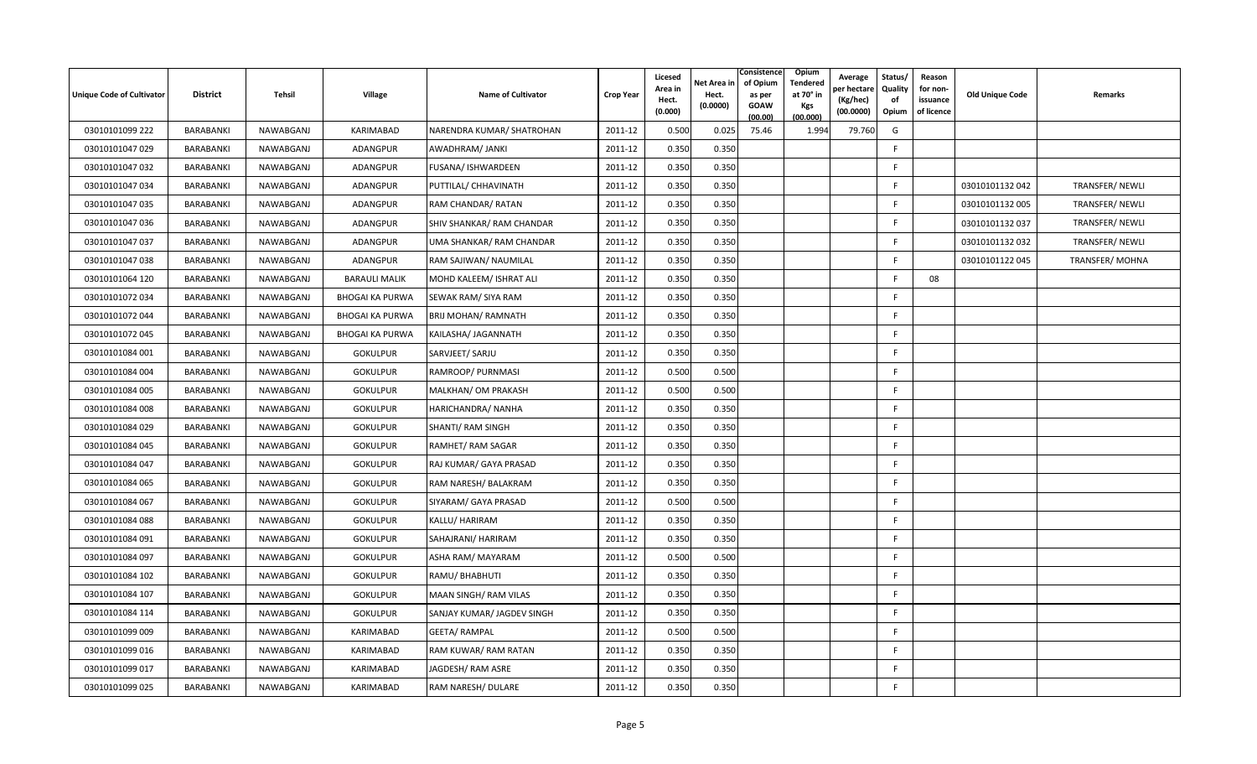| Unique Code of Cultivator | <b>District</b> | Tehsil    | Village                | <b>Name of Cultivator</b>  | <b>Crop Year</b> | Licesed<br>Area in<br>Hect.<br>(0.000) | Net Area in<br>Hect.<br>(0.0000) | Consistence<br>of Opium<br>as per<br><b>GOAW</b><br>(00.00) | Opium<br><b>Tendered</b><br>at 70° in<br>Kgs<br>(00.000) | Average<br>oer hectare<br>(Kg/hec)<br>(00.0000) | Status/<br>Quality<br>of<br>Opium | Reason<br>for non-<br>issuance<br>of licence | Old Unique Code | Remarks        |
|---------------------------|-----------------|-----------|------------------------|----------------------------|------------------|----------------------------------------|----------------------------------|-------------------------------------------------------------|----------------------------------------------------------|-------------------------------------------------|-----------------------------------|----------------------------------------------|-----------------|----------------|
| 03010101099 222           | BARABANKI       | NAWABGANJ | KARIMABAD              | NARENDRA KUMAR/ SHATROHAN  | 2011-12          | 0.500                                  | 0.025                            | 75.46                                                       | 1.994                                                    | 79.760                                          | G                                 |                                              |                 |                |
| 03010101047 029           | BARABANKI       | NAWABGANJ | <b>ADANGPUR</b>        | AWADHRAM/ JANKI            | 2011-12          | 0.350                                  | 0.350                            |                                                             |                                                          |                                                 | F.                                |                                              |                 |                |
| 03010101047 032           | BARABANKI       | NAWABGANJ | ADANGPUR               | FUSANA/ ISHWARDEEN         | 2011-12          | 0.350                                  | 0.350                            |                                                             |                                                          |                                                 | F.                                |                                              |                 |                |
| 03010101047 034           | BARABANKI       | NAWABGANJ | ADANGPUR               | PUTTILAL/ CHHAVINATH       | 2011-12          | 0.350                                  | 0.350                            |                                                             |                                                          |                                                 | F                                 |                                              | 03010101132 042 | TRANSFER/NEWLI |
| 03010101047 035           | BARABANKI       | NAWABGANJ | <b>ADANGPUR</b>        | RAM CHANDAR/ RATAN         | 2011-12          | 0.350                                  | 0.350                            |                                                             |                                                          |                                                 | F.                                |                                              | 03010101132 005 | TRANSFER/NEWLI |
| 03010101047 036           | BARABANKI       | NAWABGANJ | ADANGPUR               | SHIV SHANKAR/ RAM CHANDAR  | 2011-12          | 0.350                                  | 0.350                            |                                                             |                                                          |                                                 | F.                                |                                              | 03010101132 037 | TRANSFER/NEWLI |
| 03010101047 037           | BARABANKI       | NAWABGANJ | <b>ADANGPUR</b>        | UMA SHANKAR/ RAM CHANDAR   | 2011-12          | 0.350                                  | 0.350                            |                                                             |                                                          |                                                 | F                                 |                                              | 03010101132 032 | TRANSFER/NEWLI |
| 03010101047 038           | BARABANKI       | NAWABGANJ | <b>ADANGPUR</b>        | RAM SAJIWAN/ NAUMILAL      | 2011-12          | 0.350                                  | 0.350                            |                                                             |                                                          |                                                 | F.                                |                                              | 03010101122 045 | TRANSFER/MOHNA |
| 03010101064 120           | BARABANKI       | NAWABGANJ | <b>BARAULI MALIK</b>   | MOHD KALEEM/ ISHRAT ALI    | 2011-12          | 0.350                                  | 0.350                            |                                                             |                                                          |                                                 | E                                 | 08                                           |                 |                |
| 03010101072 034           | BARABANKI       | NAWABGANJ | <b>BHOGAI KA PURWA</b> | SEWAK RAM/ SIYA RAM        | 2011-12          | 0.350                                  | 0.350                            |                                                             |                                                          |                                                 | F                                 |                                              |                 |                |
| 03010101072 044           | BARABANKI       | NAWABGANJ | <b>BHOGAI KA PURWA</b> | <b>BRIJ MOHAN/ RAMNATH</b> | 2011-12          | 0.350                                  | 0.350                            |                                                             |                                                          |                                                 | F.                                |                                              |                 |                |
| 03010101072 045           | BARABANKI       | NAWABGANJ | <b>BHOGAI KA PURWA</b> | KAILASHA/ JAGANNATH        | 2011-12          | 0.350                                  | 0.350                            |                                                             |                                                          |                                                 | F.                                |                                              |                 |                |
| 03010101084 001           | BARABANKI       | NAWABGANJ | <b>GOKULPUR</b>        | SARVJEET/ SARJU            | 2011-12          | 0.350                                  | 0.350                            |                                                             |                                                          |                                                 | F.                                |                                              |                 |                |
| 03010101084 004           | BARABANKI       | NAWABGANJ | <b>GOKULPUR</b>        | RAMROOP/ PURNMASI          | 2011-12          | 0.500                                  | 0.500                            |                                                             |                                                          |                                                 | F.                                |                                              |                 |                |
| 03010101084 005           | BARABANKI       | NAWABGANJ | <b>GOKULPUR</b>        | MALKHAN/ OM PRAKASH        | 2011-12          | 0.500                                  | 0.500                            |                                                             |                                                          |                                                 | F                                 |                                              |                 |                |
| 03010101084 008           | BARABANKI       | NAWABGANJ | <b>GOKULPUR</b>        | HARICHANDRA/ NANHA         | 2011-12          | 0.350                                  | 0.350                            |                                                             |                                                          |                                                 | F.                                |                                              |                 |                |
| 03010101084 029           | BARABANKI       | NAWABGANJ | <b>GOKULPUR</b>        | SHANTI/ RAM SINGH          | 2011-12          | 0.350                                  | 0.350                            |                                                             |                                                          |                                                 | F.                                |                                              |                 |                |
| 03010101084 045           | BARABANKI       | NAWABGANJ | <b>GOKULPUR</b>        | RAMHET/RAM SAGAR           | 2011-12          | 0.350                                  | 0.350                            |                                                             |                                                          |                                                 | F                                 |                                              |                 |                |
| 03010101084 047           | BARABANKI       | NAWABGANJ | <b>GOKULPUR</b>        | RAJ KUMAR/ GAYA PRASAD     | 2011-12          | 0.350                                  | 0.350                            |                                                             |                                                          |                                                 | F.                                |                                              |                 |                |
| 03010101084 065           | BARABANKI       | NAWABGANJ | <b>GOKULPUR</b>        | RAM NARESH/ BALAKRAM       | 2011-12          | 0.350                                  | 0.350                            |                                                             |                                                          |                                                 | F.                                |                                              |                 |                |
| 03010101084 067           | BARABANKI       | NAWABGANJ | <b>GOKULPUR</b>        | SIYARAM/ GAYA PRASAD       | 2011-12          | 0.500                                  | 0.500                            |                                                             |                                                          |                                                 | F.                                |                                              |                 |                |
| 03010101084 088           | BARABANKI       | NAWABGANJ | <b>GOKULPUR</b>        | KALLU/ HARIRAM             | 2011-12          | 0.350                                  | 0.350                            |                                                             |                                                          |                                                 | F.                                |                                              |                 |                |
| 03010101084 091           | BARABANKI       | NAWABGANJ | <b>GOKULPUR</b>        | SAHAJRANI/ HARIRAM         | 2011-12          | 0.350                                  | 0.350                            |                                                             |                                                          |                                                 | F.                                |                                              |                 |                |
| 03010101084 097           | BARABANKI       | NAWABGANJ | <b>GOKULPUR</b>        | ASHA RAM/ MAYARAM          | 2011-12          | 0.500                                  | 0.500                            |                                                             |                                                          |                                                 | F.                                |                                              |                 |                |
| 03010101084 102           | BARABANKI       | NAWABGANJ | <b>GOKULPUR</b>        | RAMU/ BHABHUTI             | 2011-12          | 0.350                                  | 0.350                            |                                                             |                                                          |                                                 | F.                                |                                              |                 |                |
| 03010101084 107           | BARABANKI       | NAWABGANJ | <b>GOKULPUR</b>        | MAAN SINGH/ RAM VILAS      | 2011-12          | 0.350                                  | 0.350                            |                                                             |                                                          |                                                 | F.                                |                                              |                 |                |
| 03010101084 114           | BARABANKI       | NAWABGANJ | <b>GOKULPUR</b>        | SANJAY KUMAR/ JAGDEV SINGH | 2011-12          | 0.350                                  | 0.350                            |                                                             |                                                          |                                                 | F.                                |                                              |                 |                |
| 03010101099 009           | BARABANKI       | NAWABGANJ | KARIMABAD              | <b>GEETA/ RAMPAL</b>       | 2011-12          | 0.500                                  | 0.500                            |                                                             |                                                          |                                                 | F.                                |                                              |                 |                |
| 03010101099 016           | BARABANKI       | NAWABGANJ | KARIMABAD              | RAM KUWAR/ RAM RATAN       | 2011-12          | 0.350                                  | 0.350                            |                                                             |                                                          |                                                 | F.                                |                                              |                 |                |
| 03010101099 017           | BARABANKI       | NAWABGANJ | <b>KARIMABAD</b>       | JAGDESH/RAM ASRE           | 2011-12          | 0.350                                  | 0.350                            |                                                             |                                                          |                                                 | F.                                |                                              |                 |                |
| 03010101099 025           | BARABANKI       | NAWABGANJ | KARIMABAD              | RAM NARESH/ DULARE         | 2011-12          | 0.350                                  | 0.350                            |                                                             |                                                          |                                                 | F                                 |                                              |                 |                |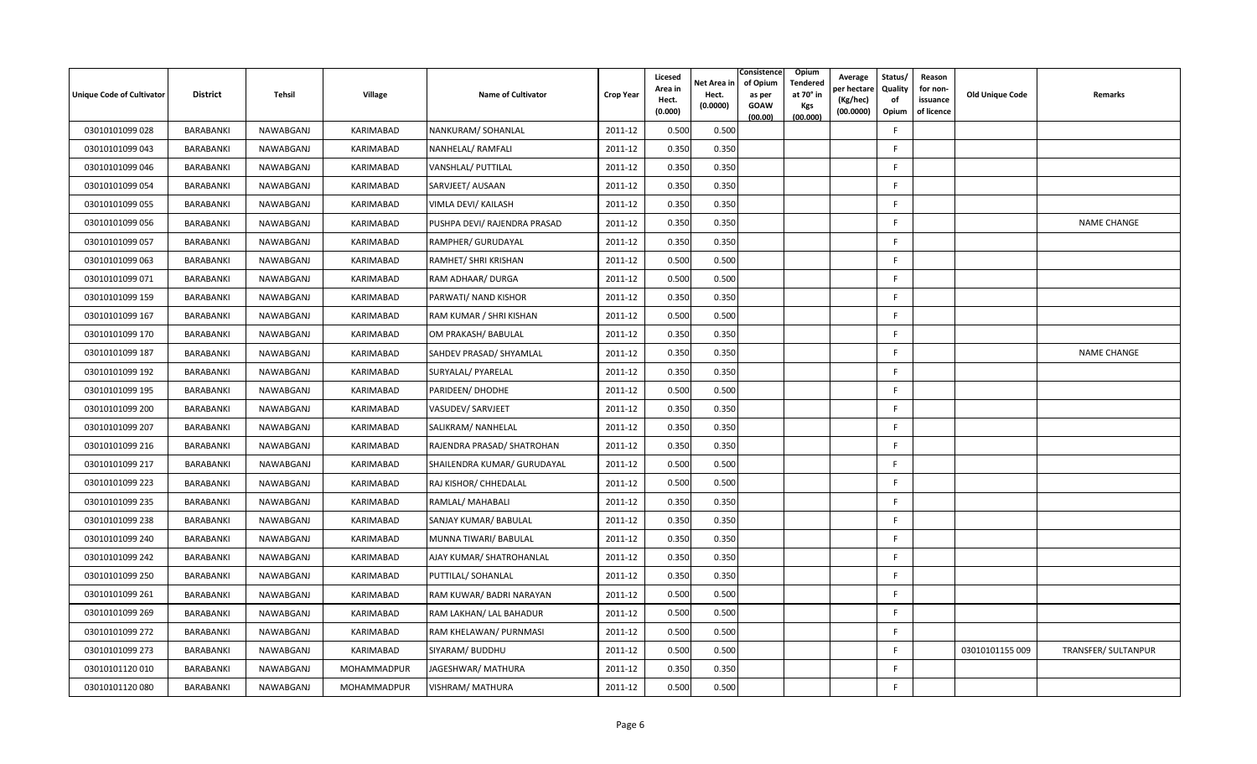| <b>Unique Code of Cultivator</b> | <b>District</b> | Tehsil    | Village     | Name of Cultivator           | <b>Crop Year</b> | Licesed<br>Area in<br>Hect.<br>(0.000) | Consistence<br>of Opium<br>Net Area in<br>Hect.<br>as per<br>(0.0000)<br><b>GOAW</b><br>(00.00) | Opium<br>Tendered<br>at 70° in<br><b>Kgs</b><br>(00.000) | Average<br>วer hectarง<br>(Kg/hec)<br>(00.0000) | Status/<br>Quality<br>of<br>Opium | Reason<br>for non-<br>issuance<br>of licence | <b>Old Unique Code</b> | Remarks                    |
|----------------------------------|-----------------|-----------|-------------|------------------------------|------------------|----------------------------------------|-------------------------------------------------------------------------------------------------|----------------------------------------------------------|-------------------------------------------------|-----------------------------------|----------------------------------------------|------------------------|----------------------------|
| 03010101099 028                  | BARABANKI       | NAWABGANJ | KARIMABAD   | NANKURAM/ SOHANLAL           | 2011-12          | 0.500                                  | 0.500                                                                                           |                                                          |                                                 | -F                                |                                              |                        |                            |
| 03010101099 043                  | BARABANKI       | NAWABGANJ | KARIMABAD   | NANHELAL/RAMFALI             | 2011-12          | 0.350                                  | 0.350                                                                                           |                                                          |                                                 | F.                                |                                              |                        |                            |
| 03010101099 046                  | BARABANKI       | NAWABGANJ | KARIMABAD   | VANSHLAL/ PUTTILAL           | 2011-12          | 0.350                                  | 0.350                                                                                           |                                                          |                                                 | F.                                |                                              |                        |                            |
| 03010101099 054                  | BARABANKI       | NAWABGANJ | KARIMABAD   | SARVJEET/ AUSAAN             | 2011-12          | 0.350                                  | 0.350                                                                                           |                                                          |                                                 | F.                                |                                              |                        |                            |
| 03010101099 055                  | BARABANKI       | NAWABGANJ | KARIMABAD   | VIMLA DEVI/ KAILASH          | 2011-12          | 0.350                                  | 0.350                                                                                           |                                                          |                                                 | F.                                |                                              |                        |                            |
| 03010101099 056                  | BARABANKI       | NAWABGANJ | KARIMABAD   | PUSHPA DEVI/ RAJENDRA PRASAD | 2011-12          | 0.350                                  | 0.350                                                                                           |                                                          |                                                 | F.                                |                                              |                        | <b>NAME CHANGE</b>         |
| 03010101099 057                  | BARABANKI       | NAWABGANJ | KARIMABAD   | RAMPHER/ GURUDAYAL           | 2011-12          | 0.350                                  | 0.350                                                                                           |                                                          |                                                 | F.                                |                                              |                        |                            |
| 03010101099 063                  | BARABANKI       | NAWABGANJ | KARIMABAD   | RAMHET/ SHRI KRISHAN         | 2011-12          | 0.500                                  | 0.500                                                                                           |                                                          |                                                 | F.                                |                                              |                        |                            |
| 03010101099 071                  | BARABANKI       | NAWABGANJ | KARIMABAD   | RAM ADHAAR/ DURGA            | 2011-12          | 0.500                                  | 0.500                                                                                           |                                                          |                                                 | F                                 |                                              |                        |                            |
| 03010101099 159                  | BARABANKI       | NAWABGANJ | KARIMABAD   | PARWATI/ NAND KISHOR         | 2011-12          | 0.350                                  | 0.350                                                                                           |                                                          |                                                 | F.                                |                                              |                        |                            |
| 03010101099 167                  | BARABANKI       | NAWABGANJ | KARIMABAD   | RAM KUMAR / SHRI KISHAN      | 2011-12          | 0.500                                  | 0.500                                                                                           |                                                          |                                                 | F.                                |                                              |                        |                            |
| 03010101099 170                  | BARABANKI       | NAWABGANJ | KARIMABAD   | OM PRAKASH/ BABULAL          | 2011-12          | 0.350                                  | 0.350                                                                                           |                                                          |                                                 | F.                                |                                              |                        |                            |
| 03010101099 187                  | BARABANKI       | NAWABGANJ | KARIMABAD   | SAHDEV PRASAD/ SHYAMLAL      | 2011-12          | 0.350                                  | 0.350                                                                                           |                                                          |                                                 | F.                                |                                              |                        | <b>NAME CHANGE</b>         |
| 03010101099 192                  | BARABANKI       | NAWABGANJ | KARIMABAD   | SURYALAL/ PYARELAL           | 2011-12          | 0.350                                  | 0.350                                                                                           |                                                          |                                                 | F                                 |                                              |                        |                            |
| 03010101099 195                  | BARABANKI       | NAWABGANJ | KARIMABAD   | PARIDEEN/ DHODHE             | 2011-12          | 0.500                                  | 0.500                                                                                           |                                                          |                                                 | F.                                |                                              |                        |                            |
| 03010101099 200                  | BARABANKI       | NAWABGANJ | KARIMABAD   | VASUDEV/ SARVJEET            | 2011-12          | 0.350                                  | 0.350                                                                                           |                                                          |                                                 | F                                 |                                              |                        |                            |
| 03010101099 207                  | BARABANKI       | NAWABGANJ | KARIMABAD   | SALIKRAM/ NANHELAL           | 2011-12          | 0.350                                  | 0.350                                                                                           |                                                          |                                                 | F.                                |                                              |                        |                            |
| 03010101099 216                  | BARABANKI       | NAWABGANJ | KARIMABAD   | RAJENDRA PRASAD/ SHATROHAN   | 2011-12          | 0.350                                  | 0.350                                                                                           |                                                          |                                                 | F.                                |                                              |                        |                            |
| 03010101099 217                  | BARABANKI       | NAWABGANJ | KARIMABAD   | SHAILENDRA KUMAR/ GURUDAYAL  | 2011-12          | 0.500                                  | 0.500                                                                                           |                                                          |                                                 | F                                 |                                              |                        |                            |
| 03010101099 223                  | BARABANKI       | NAWABGANJ | KARIMABAD   | RAJ KISHOR/ CHHEDALAL        | 2011-12          | 0.500                                  | 0.500                                                                                           |                                                          |                                                 | F.                                |                                              |                        |                            |
| 03010101099 235                  | BARABANKI       | NAWABGANJ | KARIMABAD   | RAMLAL/ MAHABALI             | 2011-12          | 0.350                                  | 0.350                                                                                           |                                                          |                                                 | F                                 |                                              |                        |                            |
| 03010101099 238                  | BARABANKI       | NAWABGANJ | KARIMABAD   | SANJAY KUMAR/ BABULAL        | 2011-12          | 0.350                                  | 0.350                                                                                           |                                                          |                                                 | F.                                |                                              |                        |                            |
| 03010101099 240                  | BARABANKI       | NAWABGANJ | KARIMABAD   | MUNNA TIWARI/ BABULAL        | 2011-12          | 0.350                                  | 0.350                                                                                           |                                                          |                                                 | F.                                |                                              |                        |                            |
| 03010101099 242                  | BARABANKI       | NAWABGANJ | KARIMABAD   | AJAY KUMAR/ SHATROHANLAL     | 2011-12          | 0.350                                  | 0.350                                                                                           |                                                          |                                                 | F.                                |                                              |                        |                            |
| 03010101099 250                  | BARABANKI       | NAWABGANJ | KARIMABAD   | PUTTILAL/ SOHANLAL           | 2011-12          | 0.350                                  | 0.350                                                                                           |                                                          |                                                 | F.                                |                                              |                        |                            |
| 03010101099 261                  | BARABANKI       | NAWABGANJ | KARIMABAD   | RAM KUWAR/ BADRI NARAYAN     | 2011-12          | 0.500                                  | 0.500                                                                                           |                                                          |                                                 | F                                 |                                              |                        |                            |
| 03010101099 269                  | BARABANKI       | NAWABGANJ | KARIMABAD   | RAM LAKHAN/ LAL BAHADUR      | 2011-12          | 0.500                                  | 0.500                                                                                           |                                                          |                                                 | F.                                |                                              |                        |                            |
| 03010101099 272                  | BARABANKI       | NAWABGANJ | KARIMABAD   | RAM KHELAWAN/ PURNMASI       | 2011-12          | 0.500                                  | 0.500                                                                                           |                                                          |                                                 | F                                 |                                              |                        |                            |
| 03010101099 273                  | BARABANKI       | NAWABGANJ | KARIMABAD   | SIYARAM/ BUDDHU              | 2011-12          | 0.500                                  | 0.500                                                                                           |                                                          |                                                 | -F.                               |                                              | 03010101155 009        | <b>TRANSFER/ SULTANPUR</b> |
| 03010101120010                   | BARABANKI       | NAWABGANJ | MOHAMMADPUR | JAGESHWAR/ MATHURA           | 2011-12          | 0.350                                  | 0.350                                                                                           |                                                          |                                                 | F.                                |                                              |                        |                            |
| 03010101120080                   | BARABANKI       | NAWABGANJ | MOHAMMADPUR | <b>VISHRAM/ MATHURA</b>      | 2011-12          | 0.500                                  | 0.500                                                                                           |                                                          |                                                 | F                                 |                                              |                        |                            |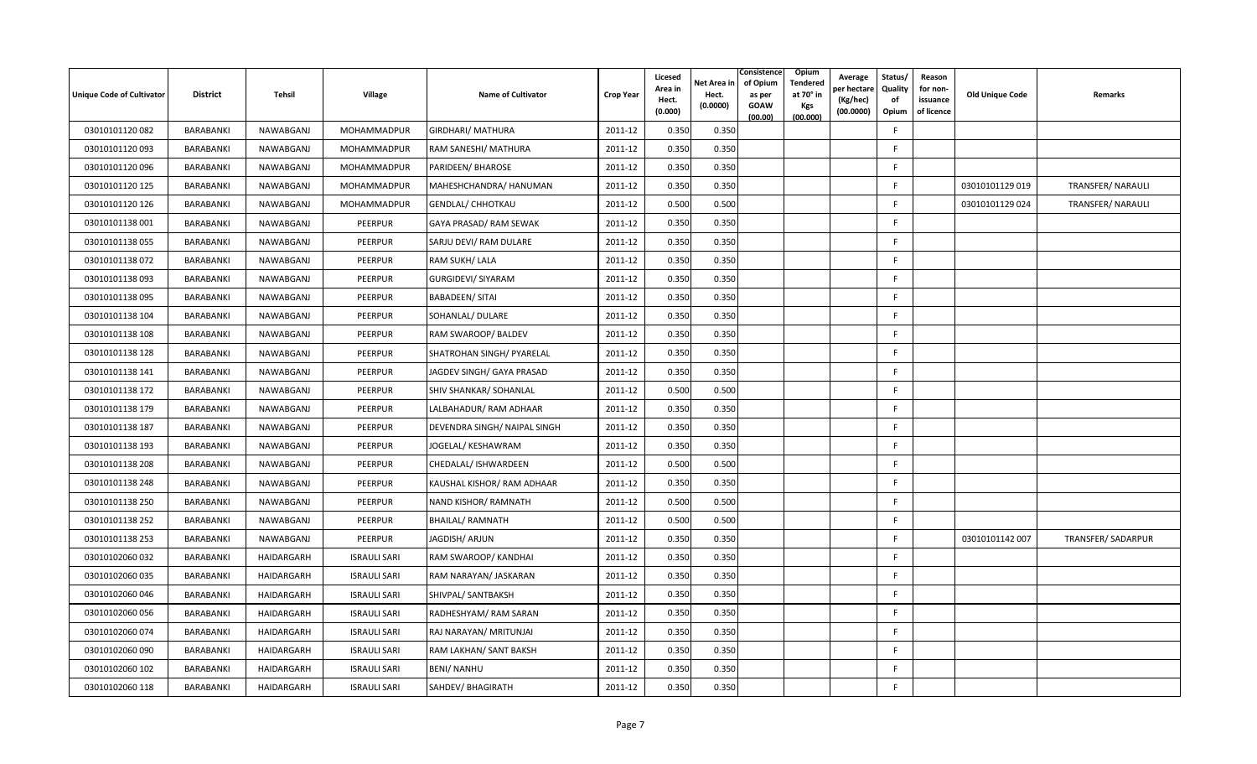| <b>Unique Code of Cultivator</b> | <b>District</b> | Tehsil     | Village             | Name of Cultivator           | <b>Crop Year</b> | Licesed<br>Area in<br>Hect.<br>(0.000) | Consistence<br>of Opium<br>Net Area in<br>Hect.<br>as per<br>(0.0000)<br><b>GOAW</b><br>(00.00) | Opium<br>Tendered<br>at 70° in<br><b>Kgs</b><br>(00.000) | Average<br>er hectar<br>(Kg/hec)<br>(00.0000) | Status/<br>Quality<br>of<br>Opium | Reason<br>for non-<br>issuance<br>of licence | Old Unique Code | Remarks                  |
|----------------------------------|-----------------|------------|---------------------|------------------------------|------------------|----------------------------------------|-------------------------------------------------------------------------------------------------|----------------------------------------------------------|-----------------------------------------------|-----------------------------------|----------------------------------------------|-----------------|--------------------------|
| 03010101120082                   | BARABANKI       | NAWABGANJ  | MOHAMMADPUR         | <b>GIRDHARI/ MATHURA</b>     | 2011-12          | 0.350                                  | 0.350                                                                                           |                                                          |                                               | -F                                |                                              |                 |                          |
| 03010101120093                   | BARABANKI       | NAWABGANJ  | MOHAMMADPUR         | RAM SANESHI/ MATHURA         | 2011-12          | 0.350                                  | 0.350                                                                                           |                                                          |                                               | F.                                |                                              |                 |                          |
| 03010101120 096                  | BARABANKI       | NAWABGANJ  | MOHAMMADPUR         | PARIDEEN/ BHAROSE            | 2011-12          | 0.350                                  | 0.350                                                                                           |                                                          |                                               | F.                                |                                              |                 |                          |
| 03010101120 125                  | BARABANKI       | NAWABGANJ  | MOHAMMADPUR         | MAHESHCHANDRA/ HANUMAN       | 2011-12          | 0.350                                  | 0.350                                                                                           |                                                          |                                               | F.                                |                                              | 03010101129 019 | TRANSFER/ NARAULI        |
| 03010101120 126                  | BARABANKI       | NAWABGANJ  | MOHAMMADPUR         | <b>GENDLAL/ CHHOTKAU</b>     | 2011-12          | 0.500                                  | 0.500                                                                                           |                                                          |                                               | F.                                |                                              | 03010101129 024 | <b>TRANSFER/ NARAULI</b> |
| 03010101138 001                  | BARABANKI       | NAWABGANJ  | PEERPUR             | GAYA PRASAD/ RAM SEWAK       | 2011-12          | 0.350                                  | 0.350                                                                                           |                                                          |                                               | F.                                |                                              |                 |                          |
| 03010101138 055                  | BARABANKI       | NAWABGANJ  | PEERPUR             | SARJU DEVI/ RAM DULARE       | 2011-12          | 0.350                                  | 0.350                                                                                           |                                                          |                                               | F.                                |                                              |                 |                          |
| 03010101138 072                  | BARABANKI       | NAWABGANJ  | PEERPUR             | RAM SUKH/ LALA               | 2011-12          | 0.350                                  | 0.350                                                                                           |                                                          |                                               | F.                                |                                              |                 |                          |
| 03010101138093                   | BARABANKI       | NAWABGANJ  | PEERPUR             | <b>GURGIDEVI/ SIYARAM</b>    | 2011-12          | 0.350                                  | 0.350                                                                                           |                                                          |                                               | F                                 |                                              |                 |                          |
| 03010101138095                   | BARABANKI       | NAWABGANJ  | PEERPUR             | <b>BABADEEN/ SITAI</b>       | 2011-12          | 0.350                                  | 0.350                                                                                           |                                                          |                                               | F.                                |                                              |                 |                          |
| 03010101138 104                  | BARABANKI       | NAWABGANJ  | PEERPUR             | SOHANLAL/ DULARE             | 2011-12          | 0.350                                  | 0.350                                                                                           |                                                          |                                               | F                                 |                                              |                 |                          |
| 03010101138 108                  | BARABANKI       | NAWABGANJ  | PEERPUR             | RAM SWAROOP/ BALDEV          | 2011-12          | 0.350                                  | 0.350                                                                                           |                                                          |                                               | F.                                |                                              |                 |                          |
| 03010101138 128                  | BARABANKI       | NAWABGANJ  | PEERPUR             | SHATROHAN SINGH/ PYARELAL    | 2011-12          | 0.350                                  | 0.350                                                                                           |                                                          |                                               | F.                                |                                              |                 |                          |
| 03010101138 141                  | BARABANKI       | NAWABGANJ  | PEERPUR             | JAGDEV SINGH/ GAYA PRASAD    | 2011-12          | 0.350                                  | 0.350                                                                                           |                                                          |                                               | F                                 |                                              |                 |                          |
| 03010101138 172                  | BARABANKI       | NAWABGANJ  | PEERPUR             | SHIV SHANKAR/ SOHANLAL       | 2011-12          | 0.500                                  | 0.500                                                                                           |                                                          |                                               | F.                                |                                              |                 |                          |
| 03010101138 179                  | BARABANKI       | NAWABGANJ  | PEERPUR             | LALBAHADUR/RAM ADHAAR        | 2011-12          | 0.350                                  | 0.350                                                                                           |                                                          |                                               | F.                                |                                              |                 |                          |
| 03010101138 187                  | BARABANKI       | NAWABGANJ  | PEERPUR             | DEVENDRA SINGH/ NAIPAL SINGH | 2011-12          | 0.350                                  | 0.350                                                                                           |                                                          |                                               | F.                                |                                              |                 |                          |
| 03010101138 193                  | BARABANKI       | NAWABGANJ  | PEERPUR             | JOGELAL/ KESHAWRAM           | 2011-12          | 0.350                                  | 0.350                                                                                           |                                                          |                                               | F.                                |                                              |                 |                          |
| 03010101138 208                  | BARABANKI       | NAWABGANJ  | PEERPUR             | CHEDALAL/ ISHWARDEEN         | 2011-12          | 0.500                                  | 0.500                                                                                           |                                                          |                                               | F.                                |                                              |                 |                          |
| 03010101138 248                  | BARABANKI       | NAWABGANJ  | PEERPUR             | KAUSHAL KISHOR/ RAM ADHAAR   | 2011-12          | 0.350                                  | 0.350                                                                                           |                                                          |                                               | F.                                |                                              |                 |                          |
| 03010101138 250                  | BARABANKI       | NAWABGANJ  | PEERPUR             | NAND KISHOR/ RAMNATH         | 2011-12          | 0.500                                  | 0.500                                                                                           |                                                          |                                               | F                                 |                                              |                 |                          |
| 03010101138 252                  | BARABANKI       | NAWABGANJ  | PEERPUR             | <b>BHAILAL/ RAMNATH</b>      | 2011-12          | 0.500                                  | 0.500                                                                                           |                                                          |                                               | F.                                |                                              |                 |                          |
| 03010101138 253                  | BARABANKI       | NAWABGANJ  | PEERPUR             | JAGDISH/ ARJUN               | 2011-12          | 0.350                                  | 0.350                                                                                           |                                                          |                                               | F.                                |                                              | 03010101142 007 | TRANSFER/SADARPUR        |
| 03010102060 032                  | BARABANKI       | HAIDARGARH | <b>ISRAULI SARI</b> | RAM SWAROOP/ KANDHAI         | 2011-12          | 0.350                                  | 0.350                                                                                           |                                                          |                                               | F.                                |                                              |                 |                          |
| 03010102060 035                  | BARABANKI       | HAIDARGARH | <b>ISRAULI SARI</b> | RAM NARAYAN/ JASKARAN        | 2011-12          | 0.350                                  | 0.350                                                                                           |                                                          |                                               | F.                                |                                              |                 |                          |
| 03010102060046                   | BARABANKI       | HAIDARGARH | <b>ISRAULI SARI</b> | SHIVPAL/ SANTBAKSH           | 2011-12          | 0.350                                  | 0.350                                                                                           |                                                          |                                               | F                                 |                                              |                 |                          |
| 03010102060 056                  | BARABANKI       | HAIDARGARH | <b>ISRAULI SARI</b> | RADHESHYAM/ RAM SARAN        | 2011-12          | 0.350                                  | 0.350                                                                                           |                                                          |                                               | F                                 |                                              |                 |                          |
| 03010102060 074                  | BARABANKI       | HAIDARGARH | <b>ISRAULI SARI</b> | RAJ NARAYAN/ MRITUNJAI       | 2011-12          | 0.350                                  | 0.350                                                                                           |                                                          |                                               | F.                                |                                              |                 |                          |
| 03010102060 090                  | BARABANKI       | HAIDARGARH | <b>ISRAULI SARI</b> | RAM LAKHAN/ SANT BAKSH       | 2011-12          | 0.350                                  | 0.350                                                                                           |                                                          |                                               | -F.                               |                                              |                 |                          |
| 03010102060 102                  | BARABANKI       | HAIDARGARH | <b>ISRAULI SARI</b> | BENI/ NANHU                  | 2011-12          | 0.350                                  | 0.350                                                                                           |                                                          |                                               | F.                                |                                              |                 |                          |
| 03010102060 118                  | BARABANKI       | HAIDARGARH | <b>ISRAULI SARI</b> | SAHDEV/BHAGIRATH             | 2011-12          | 0.350                                  | 0.350                                                                                           |                                                          |                                               | F                                 |                                              |                 |                          |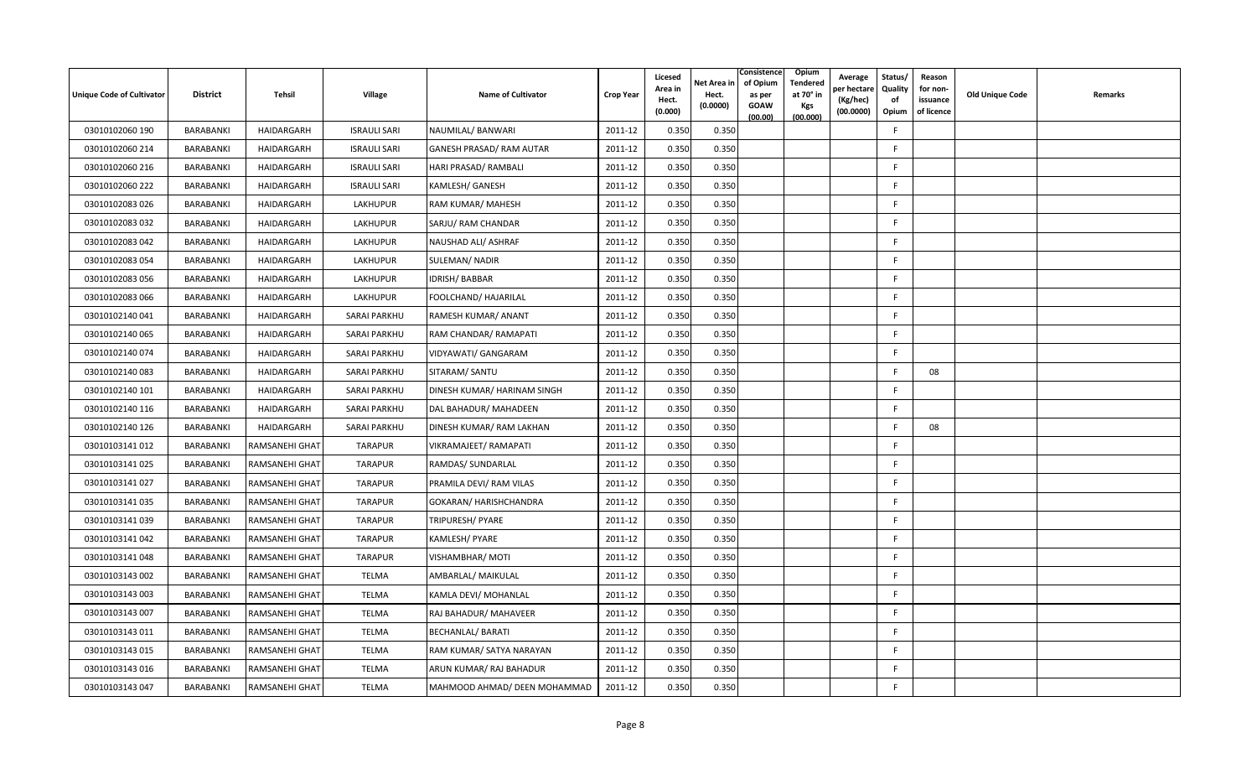| <b>Unique Code of Cultivator</b> | <b>District</b> | Tehsil         | <b>Village</b>      | <b>Name of Cultivator</b>       | <b>Crop Year</b> | Licesed<br>Area in<br>Hect.<br>(0.000) | Net Area in<br>Hect.<br>(0.0000) | Consistence<br>Opium<br>Tendered<br>of Opium<br>at 70 $^{\circ}$ in<br>as per<br><b>GOAW</b><br><b>Kgs</b><br>(00.000)<br>(00.00) | Average<br>er hectar<br>(Kg/hec)<br>(00.0000) | Status/<br>Quality<br>of<br>Opium | Reason<br>for non-<br>issuance<br>of licence | <b>Old Unique Code</b> | Remarks |
|----------------------------------|-----------------|----------------|---------------------|---------------------------------|------------------|----------------------------------------|----------------------------------|-----------------------------------------------------------------------------------------------------------------------------------|-----------------------------------------------|-----------------------------------|----------------------------------------------|------------------------|---------|
| 03010102060 190                  | BARABANKI       | HAIDARGARH     | <b>ISRAULI SARI</b> | NAUMILAL/ BANWARI               | 2011-12          | 0.350                                  | 0.350                            |                                                                                                                                   |                                               | F.                                |                                              |                        |         |
| 03010102060 214                  | BARABANKI       | HAIDARGARH     | <b>ISRAULI SARI</b> | <b>GANESH PRASAD/ RAM AUTAR</b> | 2011-12          | 0.350                                  | 0.350                            |                                                                                                                                   |                                               | F.                                |                                              |                        |         |
| 03010102060 216                  | BARABANKI       | HAIDARGARH     | <b>ISRAULI SARI</b> | HARI PRASAD/ RAMBALI            | 2011-12          | 0.350                                  | 0.350                            |                                                                                                                                   |                                               | F                                 |                                              |                        |         |
| 03010102060 222                  | BARABANKI       | HAIDARGARH     | <b>ISRAULI SARI</b> | KAMLESH/ GANESH                 | 2011-12          | 0.350                                  | 0.350                            |                                                                                                                                   |                                               | F                                 |                                              |                        |         |
| 03010102083 026                  | BARABANKI       | HAIDARGARH     | LAKHUPUR            | RAM KUMAR/ MAHESH               | 2011-12          | 0.350                                  | 0.350                            |                                                                                                                                   |                                               | E                                 |                                              |                        |         |
| 03010102083 032                  | BARABANKI       | HAIDARGARH     | LAKHUPUR            | SARJU/ RAM CHANDAR              | 2011-12          | 0.350                                  | 0.350                            |                                                                                                                                   |                                               | F.                                |                                              |                        |         |
| 03010102083 042                  | BARABANKI       | HAIDARGARH     | LAKHUPUR            | NAUSHAD ALI/ ASHRAF             | 2011-12          | 0.350                                  | 0.350                            |                                                                                                                                   |                                               | F.                                |                                              |                        |         |
| 03010102083 054                  | BARABANKI       | HAIDARGARH     | LAKHUPUR            | <b>SULEMAN/ NADIR</b>           | 2011-12          | 0.350                                  | 0.350                            |                                                                                                                                   |                                               | F                                 |                                              |                        |         |
| 03010102083 056                  | BARABANKI       | HAIDARGARH     | LAKHUPUR            | IDRISH/ BABBAR                  | 2011-12          | 0.350                                  | 0.350                            |                                                                                                                                   |                                               | F                                 |                                              |                        |         |
| 03010102083 066                  | BARABANKI       | HAIDARGARH     | LAKHUPUR            | FOOLCHAND/ HAJARILAL            | 2011-12          | 0.350                                  | 0.350                            |                                                                                                                                   |                                               | F.                                |                                              |                        |         |
| 03010102140041                   | BARABANKI       | HAIDARGARH     | SARAI PARKHU        | RAMESH KUMAR/ ANANT             | 2011-12          | 0.350                                  | 0.350                            |                                                                                                                                   |                                               | F                                 |                                              |                        |         |
| 03010102140065                   | BARABANKI       | HAIDARGARH     | SARAI PARKHU        | RAM CHANDAR/ RAMAPATI           | 2011-12          | 0.350                                  | 0.350                            |                                                                                                                                   |                                               | F.                                |                                              |                        |         |
| 03010102140 074                  | BARABANKI       | HAIDARGARH     | SARAI PARKHU        | VIDYAWATI/ GANGARAM             | 2011-12          | 0.350                                  | 0.350                            |                                                                                                                                   |                                               | F                                 |                                              |                        |         |
| 03010102140083                   | BARABANKI       | HAIDARGARH     | <b>SARAI PARKHU</b> | SITARAM/ SANTU                  | 2011-12          | 0.350                                  | 0.350                            |                                                                                                                                   |                                               | F                                 | 08                                           |                        |         |
| 03010102140 101                  | BARABANKI       | HAIDARGARH     | <b>SARAI PARKHU</b> | DINESH KUMAR/ HARINAM SINGH     | 2011-12          | 0.350                                  | 0.350                            |                                                                                                                                   |                                               | F                                 |                                              |                        |         |
| 03010102140 116                  | BARABANKI       | HAIDARGARH     | SARAI PARKHU        | DAL BAHADUR/ MAHADEEN           | 2011-12          | 0.350                                  | 0.350                            |                                                                                                                                   |                                               | F                                 |                                              |                        |         |
| 03010102140 126                  | BARABANKI       | HAIDARGARH     | SARAI PARKHU        | DINESH KUMAR/ RAM LAKHAN        | 2011-12          | 0.350                                  | 0.350                            |                                                                                                                                   |                                               | F.                                | 08                                           |                        |         |
| 03010103141 012                  | BARABANKI       | RAMSANEHI GHAT | <b>TARAPUR</b>      | VIKRAMAJEET/RAMAPATI            | 2011-12          | 0.350                                  | 0.350                            |                                                                                                                                   |                                               | F                                 |                                              |                        |         |
| 03010103141 025                  | BARABANKI       | RAMSANEHI GHAT | <b>TARAPUR</b>      | RAMDAS/ SUNDARLAL               | 2011-12          | 0.350                                  | 0.350                            |                                                                                                                                   |                                               | F                                 |                                              |                        |         |
| 03010103141 027                  | BARABANKI       | RAMSANEHI GHAT | <b>TARAPUR</b>      | PRAMILA DEVI/ RAM VILAS         | 2011-12          | 0.350                                  | 0.350                            |                                                                                                                                   |                                               | F                                 |                                              |                        |         |
| 03010103141 035                  | BARABANKI       | RAMSANEHI GHAT | <b>TARAPUR</b>      | GOKARAN/ HARISHCHANDRA          | 2011-12          | 0.350                                  | 0.350                            |                                                                                                                                   |                                               | F                                 |                                              |                        |         |
| 03010103141039                   | BARABANKI       | RAMSANEHI GHAT | <b>TARAPUR</b>      | TRIPURESH/ PYARE                | 2011-12          | 0.350                                  | 0.350                            |                                                                                                                                   |                                               | F.                                |                                              |                        |         |
| 03010103141 042                  | BARABANKI       | RAMSANEHI GHAT | <b>TARAPUR</b>      | KAMLESH/ PYARE                  | 2011-12          | 0.350                                  | 0.350                            |                                                                                                                                   |                                               | F                                 |                                              |                        |         |
| 03010103141048                   | BARABANKI       | RAMSANEHI GHAT | <b>TARAPUR</b>      | <b>VISHAMBHAR/MOTI</b>          | 2011-12          | 0.350                                  | 0.350                            |                                                                                                                                   |                                               | F.                                |                                              |                        |         |
| 03010103143 002                  | BARABANKI       | RAMSANEHI GHAT | <b>TELMA</b>        | AMBARLAL/ MAIKULAL              | 2011-12          | 0.350                                  | 0.350                            |                                                                                                                                   |                                               | F                                 |                                              |                        |         |
| 03010103143 003                  | BARABANKI       | RAMSANEHI GHAT | TELMA               | KAMLA DEVI/ MOHANLAL            | 2011-12          | 0.350                                  | 0.350                            |                                                                                                                                   |                                               | F                                 |                                              |                        |         |
| 03010103143 007                  | BARABANKI       | RAMSANEHI GHAT | <b>TELMA</b>        | RAJ BAHADUR/ MAHAVEER           | 2011-12          | 0.350                                  | 0.350                            |                                                                                                                                   |                                               | E                                 |                                              |                        |         |
| 03010103143 011                  | BARABANKI       | RAMSANEHI GHAT | TELMA               | <b>BECHANLAL/ BARATI</b>        | 2011-12          | 0.350                                  | 0.350                            |                                                                                                                                   |                                               | F                                 |                                              |                        |         |
| 03010103143 015                  | BARABANKI       | RAMSANEHI GHAT | <b>TELMA</b>        | RAM KUMAR/ SATYA NARAYAN        | 2011-12          | 0.350                                  | 0.350                            |                                                                                                                                   |                                               | F                                 |                                              |                        |         |
| 03010103143 016                  | BARABANKI       | RAMSANEHI GHAT | <b>TELMA</b>        | ARUN KUMAR/ RAJ BAHADUR         | 2011-12          | 0.350                                  | 0.350                            |                                                                                                                                   |                                               | F                                 |                                              |                        |         |
| 03010103143 047                  | BARABANKI       | RAMSANEHI GHAT | <b>TELMA</b>        | MAHMOOD AHMAD/ DEEN MOHAMMAD    | 2011-12          | 0.350                                  | 0.350                            |                                                                                                                                   |                                               | F                                 |                                              |                        |         |